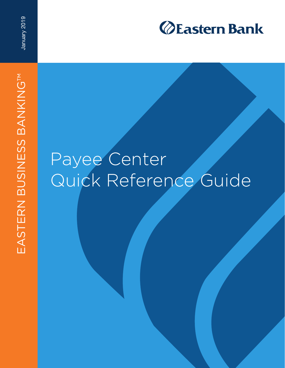

## Payee Center Quick Reference Guide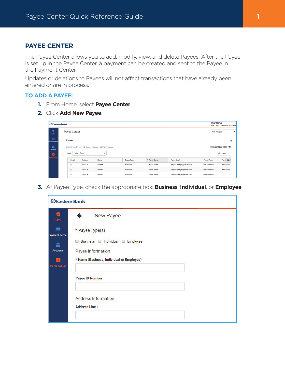## **PAYEE CENTER**

The Payee Center allows you to add, modify, view, and delete Payees. After the Payee is set up in the Payee Center, a payment can be created and sent to the Payee in the Payment Center.

Updates or deletions to Payees will not affect transactions that have already been entered or are in process.

## **TO ADD A PAYEE:**

- **1.** From Home, select **Payee Center**.
- **2.** Click **Add New Payee**.

| <b><i>OEastern Bank</i></b> |                                                                         |                                           |                       |                   |             |                          |                    | <b>User Name</b><br>Last Login: 00/00/0000 00:00 PM |  |
|-----------------------------|-------------------------------------------------------------------------|-------------------------------------------|-----------------------|-------------------|-------------|--------------------------|--------------------|-----------------------------------------------------|--|
| 費<br>Home                   |                                                                         | Payee Center                              |                       |                   |             |                          |                    |                                                     |  |
| 圖<br>Payment Center         | Payees                                                                  |                                           | 拳                     |                   |             |                          |                    |                                                     |  |
| 孟<br><b>Accounts</b>        | <b>Add New Payee B. Export Payees</b>                                   |                                           | C 00/00/0000 00:00 PM |                   |             |                          |                    |                                                     |  |
| а                           | Filter                                                                  | Select fields<br>$\overline{\phantom{a}}$ |                       |                   |             |                          |                    | All Payees                                          |  |
| Payee Center                | AII                                                                     | <b>Actions</b>                            | Name                  | <b>Payee Type</b> | ↑Payee Name | <b>Payee Email</b>       | <b>Payee Phone</b> | Payee Mi                                            |  |
|                             | 8                                                                       | View $\star$                              | Name1                 | Business          | Payee Name  | payeeemail@ispprover.com | 000-000-0000       | 000-000-00                                          |  |
|                             | $\qquad \qquad \qquad \qquad \qquad \qquad \qquad \qquad \qquad \qquad$ | View $\star$                              | Name2                 | <b>Business</b>   | Payee Name  | payeeemail@ispprover.com | 000-000-0000       | $000 - 000 - 00$                                    |  |
|                             |                                                                         | View $\star$                              | Name3                 | <b>Business</b>   | Payee Name  | payeeemail@ispprover.com | 000-000-0000       |                                                     |  |

**3.** At Payee Type, check the appropriate box: **Business**, **Individual**, or **Employee**.

| <b>Eastern Bank</b>                     |                                           |  |  |  |
|-----------------------------------------|-------------------------------------------|--|--|--|
| 昔<br>Home                               | New Payee                                 |  |  |  |
| $\blacksquare$<br><b>Payment Center</b> | * Payee Type(s)                           |  |  |  |
| 孟                                       | Business Individual O<br>Employee         |  |  |  |
| <b>Accounts</b>                         | Payee Information                         |  |  |  |
| $\mathbf{1}$<br><b>Payee Center</b>     | * Name (Business, Individual or Employee) |  |  |  |
|                                         | <b>Payee ID Number</b>                    |  |  |  |
|                                         | <b>Address Information</b>                |  |  |  |
|                                         | <b>Address Line 1</b>                     |  |  |  |
|                                         |                                           |  |  |  |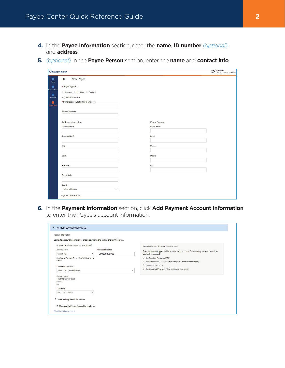- **4.** In the **Payee Information** section, enter the **name**, **ID number** *(optional)*, and **address**.
- **5.** *(optional)* In the **Payee Person** section, enter the **name** and **contact info**.

| <b>ØEastern Bank</b>                                           |                   |  |  |  |  |
|----------------------------------------------------------------|-------------------|--|--|--|--|
| <b>New Payee</b><br>a<br>←                                     |                   |  |  |  |  |
| Home<br>* Payee Type(s)<br>囩                                   |                   |  |  |  |  |
| ayment Center<br><b>Business Individual D</b> Employee         |                   |  |  |  |  |
| 齑                                                              |                   |  |  |  |  |
| Payee Information<br>Accounts                                  |                   |  |  |  |  |
| * Name (Business, Individual or Employee)<br>ø<br>Payee Center |                   |  |  |  |  |
|                                                                |                   |  |  |  |  |
| <b>Payee ID Number</b>                                         |                   |  |  |  |  |
|                                                                |                   |  |  |  |  |
| Address Information                                            | Payee Person      |  |  |  |  |
| <b>Address Line 1</b>                                          | <b>Payee Name</b> |  |  |  |  |
|                                                                |                   |  |  |  |  |
| <b>Address Line 2</b>                                          | Email             |  |  |  |  |
|                                                                |                   |  |  |  |  |
| City                                                           | Phone             |  |  |  |  |
|                                                                |                   |  |  |  |  |
| <b>State</b>                                                   | Mobile            |  |  |  |  |
|                                                                |                   |  |  |  |  |
| Province                                                       | Fax               |  |  |  |  |
|                                                                |                   |  |  |  |  |
| <b>Postal Code</b>                                             |                   |  |  |  |  |
|                                                                |                   |  |  |  |  |
| Country                                                        |                   |  |  |  |  |
| Select a Country<br>$\boldsymbol{\mathrm{v}}$                  |                   |  |  |  |  |

**6.** In the **Payment Information** section, click **Add Payment Account Information** to enter the Payee's account information.

| Complete Account Information to enable payments and collections for this Payee.    |                  |                                                                                                                                      |
|------------------------------------------------------------------------------------|------------------|--------------------------------------------------------------------------------------------------------------------------------------|
| <b>Enter Bank Information</b> © Use IBAN <b>G</b><br><b>Account Type</b>           | * Account Number | Payment Methods Accepted by this Account<br>Selected payment types will be active for this account. De-select any you do not wish to |
| $\mathbf v$<br>Select Type                                                         | 000000000000     | use for this account                                                                                                                 |
| Required for Payment Types using NACHA clearing<br>method                          |                  | Use Standard Payments (ACH)                                                                                                          |
|                                                                                    |                  | Use International Expedited Payments (Wire - additional fees apply)                                                                  |
| * Bank Routing Code                                                                |                  | Corporate Collections                                                                                                                |
| 011301798 - Eastern Bank                                                           |                  | Use Expedited Payments (Wire - additional fees apply)<br>٠                                                                           |
| Eastern Bank<br><b>195 MARKET STREET</b><br><b>IYNN</b><br><b>US</b><br>* Currency |                  |                                                                                                                                      |
| USD - US DOLLAR<br>v                                                               |                  |                                                                                                                                      |
| > Intermediary Bank Information<br>Make this the Primary Account for this Payee    |                  |                                                                                                                                      |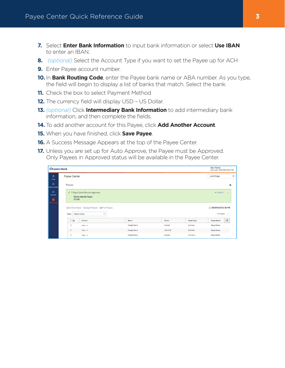- **7.** Select **Enter Bank Information** to input bank information or select **Use IBAN** to enter an IBAN.
- **8.** *(optional)* Select the Account Type if you want to set the Payee up for ACH
- **9.** Enter Payee account number.
- **10.** In **Bank Routing Code**, enter the Payee bank name or ABA number. As you type, the field will begin to display a list of banks that match. Select the bank.
- **11.** Check the box to select Payment Method
- **12.** The currency field will display USD US Dollar.
- **13.** *(optional)* Click **Intermediary Bank Information** to add intermediary bank information, and then complete the fields.
- **14.** To add another account for this Payee, click **Add Another Account**.
- **15.** When you have finished, click **Save Payee**.
- **16.** A Success Message Appears at the top of the Payee Center.
- **17.** Unless you are set up for Auto Approve, the Payee must be Approved. Only Payees in Approved status will be available in the Payee Center.

| <b>ØEastern Bank</b> |                                                                                           |                     |               |                 |                                     |               |  |
|----------------------|-------------------------------------------------------------------------------------------|---------------------|---------------|-----------------|-------------------------------------|---------------|--|
|                      | Payee Center                                                                              |                     |               |                 |                                     |               |  |
| Payment Center       | Payees                                                                                    |                     |               |                 |                                     | 柴             |  |
| <b>Accounts</b>      | √ 1 Payee Center Records Approved<br>Name Sample Payee<br><b>ID 000</b>                   | $\triangle$ Details | $\times$      |                 |                                     |               |  |
| Payee Center         |                                                                                           |                     |               |                 |                                     |               |  |
|                      | <b>Export Payes B</b> Export Payees <b>B</b> Print Payees<br>Select fields<br>Filter<br>۰ |                     |               |                 | C 00/00/0000 00:00 PM<br>All Payees | $\rightarrow$ |  |
|                      | A<br>Actions                                                                              | Name                | <b>Status</b> | Payee Type      | Payee Name                          | *             |  |
|                      | $\Box$<br>View $\sim$                                                                     | Sample Name         | Entered       | Business        | Payee Name                          |               |  |
|                      | $\qquad \qquad \Box$<br>$View -$                                                          | Sample Name         | Approved      | <b>Business</b> | Payee Name                          |               |  |